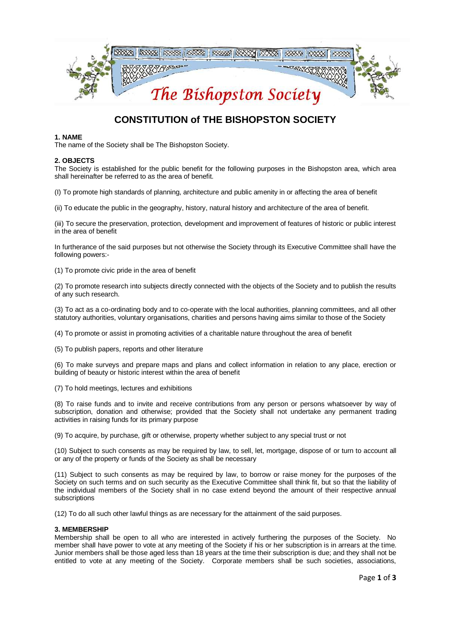

# **CONSTITUTION of THE BISHOPSTON SOCIETY**

### **1. NAME**

The name of the Society shall be The Bishopston Society.

#### **2. OBJECTS**

The Society is established for the public benefit for the following purposes in the Bishopston area, which area shall hereinafter be referred to as the area of benefit.

(I) To promote high standards of planning, architecture and public amenity in or affecting the area of benefit

(ii) To educate the public in the geography, history, natural history and architecture of the area of benefit.

(iii) To secure the preservation, protection, development and improvement of features of historic or public interest in the area of benefit

In furtherance of the said purposes but not otherwise the Society through its Executive Committee shall have the following powers:-

(1) To promote civic pride in the area of benefit

(2) To promote research into subjects directly connected with the objects of the Society and to publish the results of any such research.

(3) To act as a co-ordinating body and to co-operate with the local authorities, planning committees, and all other statutory authorities, voluntary organisations, charities and persons having aims similar to those of the Society

(4) To promote or assist in promoting activities of a charitable nature throughout the area of benefit

(5) To publish papers, reports and other literature

(6) To make surveys and prepare maps and plans and collect information in relation to any place, erection or building of beauty or historic interest within the area of benefit

(7) To hold meetings, lectures and exhibitions

(8) To raise funds and to invite and receive contributions from any person or persons whatsoever by way of subscription, donation and otherwise; provided that the Society shall not undertake any permanent trading activities in raising funds for its primary purpose

(9) To acquire, by purchase, gift or otherwise, property whether subject to any special trust or not

(10) Subject to such consents as may be required by law, to sell, let, mortgage, dispose of or turn to account all or any of the property or funds of the Society as shall be necessary

(11) Subject to such consents as may be required by law, to borrow or raise money for the purposes of the Society on such terms and on such security as the Executive Committee shall think fit, but so that the liability of the individual members of the Society shall in no case extend beyond the amount of their respective annual subscriptions

(12) To do all such other lawful things as are necessary for the attainment of the said purposes.

#### **3. MEMBERSHIP**

Membership shall be open to all who are interested in actively furthering the purposes of the Society. No member shall have power to vote at any meeting of the Society if his or her subscription is in arrears at the time. Junior members shall be those aged less than 18 years at the time their subscription is due; and they shall not be entitled to vote at any meeting of the Society. Corporate members shall be such societies, associations,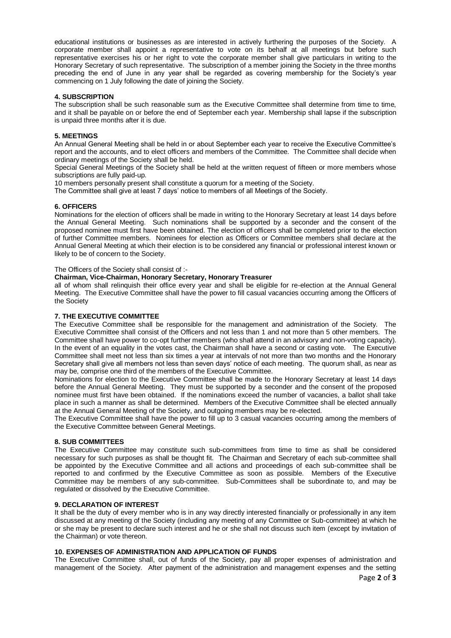educational institutions or businesses as are interested in actively furthering the purposes of the Society. A corporate member shall appoint a representative to vote on its behalf at all meetings but before such representative exercises his or her right to vote the corporate member shall give particulars in writing to the Honorary Secretary of such representative. The subscription of a member joining the Society in the three months preceding the end of June in any year shall be regarded as covering membership for the Society's year commencing on 1 July following the date of joining the Society.

# **4. SUBSCRIPTION**

The subscription shall be such reasonable sum as the Executive Committee shall determine from time to time, and it shall be payable on or before the end of September each year. Membership shall lapse if the subscription is unpaid three months after it is due.

### **5. MEETINGS**

An Annual General Meeting shall be held in or about September each year to receive the Executive Committee's report and the accounts, and to elect officers and members of the Committee. The Committee shall decide when ordinary meetings of the Society shall be held.

Special General Meetings of the Society shall be held at the written request of fifteen or more members whose subscriptions are fully paid-up.

10 members personally present shall constitute a quorum for a meeting of the Society.

The Committee shall give at least 7 days' notice to members of all Meetings of the Society.

# **6. OFFICERS**

Nominations for the election of officers shall be made in writing to the Honorary Secretary at least 14 days before the Annual General Meeting. Such nominations shall be supported by a seconder and the consent of the proposed nominee must first have been obtained. The election of officers shall be completed prior to the election of further Committee members. Nominees for election as Officers or Committee members shall declare at the Annual General Meeting at which their election is to be considered any financial or professional interest known or likely to be of concern to the Society.

The Officers of the Society shall consist of :-

# **Chairman, Vice-Chairman, Honorary Secretary, Honorary Treasurer**

all of whom shall relinquish their office every year and shall be eligible for re-election at the Annual General Meeting. The Executive Committee shall have the power to fill casual vacancies occurring among the Officers of the Society

# **7. THE EXECUTIVE COMMITTEE**

The Executive Committee shall be responsible for the management and administration of the Society. The Executive Committee shall consist of the Officers and not less than 1 and not more than 5 other members. The Committee shall have power to co-opt further members (who shall attend in an advisory and non-voting capacity). In the event of an equality in the votes cast, the Chairman shall have a second or casting vote. The Executive Committee shall meet not less than six times a year at intervals of not more than two months and the Honorary Secretary shall give all members not less than seven days' notice of each meeting. The quorum shall, as near as may be, comprise one third of the members of the Executive Committee.

Nominations for election to the Executive Committee shall be made to the Honorary Secretary at least 14 days before the Annual General Meeting. They must be supported by a seconder and the consent of the proposed nominee must first have been obtained. If the nominations exceed the number of vacancies, a ballot shall take place in such a manner as shall be determined. Members of the Executive Committee shall be elected annually at the Annual General Meeting of the Society, and outgoing members may be re-elected.

The Executive Committee shall have the power to fill up to 3 casual vacancies occurring among the members of the Executive Committee between General Meetings.

#### **8. SUB COMMITTEES**

The Executive Committee may constitute such sub-committees from time to time as shall be considered necessary for such purposes as shall be thought fit. The Chairman and Secretary of each sub-committee shall be appointed by the Executive Committee and all actions and proceedings of each sub-committee shall be reported to and confirmed by the Executive Committee as soon as possible. Members of the Executive Committee may be members of any sub-committee. Sub-Committees shall be subordinate to, and may be regulated or dissolved by the Executive Committee.

#### **9. DECLARATION OF INTEREST**

It shall be the duty of every member who is in any way directly interested financially or professionally in any item discussed at any meeting of the Society (including any meeting of any Committee or Sub-committee) at which he or she may be present to declare such interest and he or she shall not discuss such item (except by invitation of the Chairman) or vote thereon.

#### **10. EXPENSES OF ADMINISTRATION AND APPLICATION OF FUNDS**

The Executive Committee shall, out of funds of the Society, pay all proper expenses of administration and management of the Society. After payment of the administration and management expenses and the setting